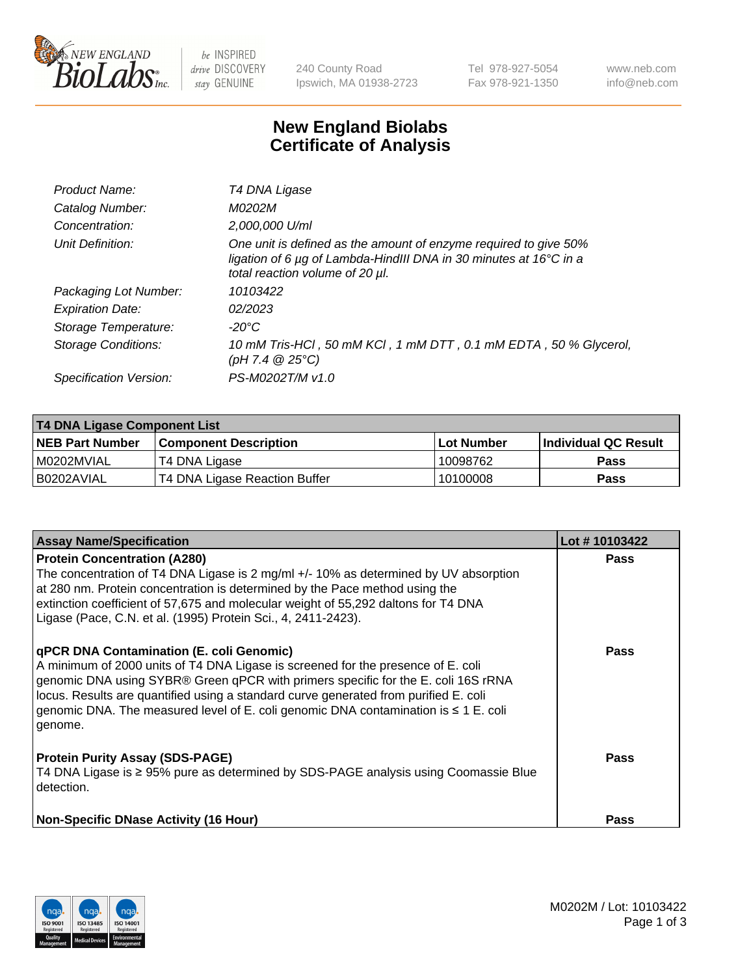

 $be$  INSPIRED drive DISCOVERY stay GENUINE

240 County Road Ipswich, MA 01938-2723 Tel 978-927-5054 Fax 978-921-1350 www.neb.com info@neb.com

## **New England Biolabs Certificate of Analysis**

| Product Name:              | T4 DNA Ligase                                                                                                                                                            |
|----------------------------|--------------------------------------------------------------------------------------------------------------------------------------------------------------------------|
| Catalog Number:            | M0202M                                                                                                                                                                   |
| Concentration:             | 2,000,000 U/ml                                                                                                                                                           |
| Unit Definition:           | One unit is defined as the amount of enzyme required to give 50%<br>ligation of 6 µg of Lambda-HindIII DNA in 30 minutes at 16°C in a<br>total reaction volume of 20 µl. |
| Packaging Lot Number:      | 10103422                                                                                                                                                                 |
| <b>Expiration Date:</b>    | 02/2023                                                                                                                                                                  |
| Storage Temperature:       | $-20^{\circ}$ C                                                                                                                                                          |
| <b>Storage Conditions:</b> | 10 mM Tris-HCl, 50 mM KCl, 1 mM DTT, 0.1 mM EDTA, 50 % Glycerol,<br>(pH 7.4 $@25°C$ )                                                                                    |
| Specification Version:     | PS-M0202T/M v1.0                                                                                                                                                         |

| <b>T4 DNA Ligase Component List</b> |                               |             |                       |  |  |
|-------------------------------------|-------------------------------|-------------|-----------------------|--|--|
| <b>NEB Part Number</b>              | l Component Description       | ⊺Lot Number | ∣Individual QC Result |  |  |
| M0202MVIAL                          | T4 DNA Ligase                 | 10098762    | <b>Pass</b>           |  |  |
| B0202AVIAL                          | T4 DNA Ligase Reaction Buffer | 10100008    | <b>Pass</b>           |  |  |

| <b>Assay Name/Specification</b>                                                                                                                                                                                                                                                                                                                                      | Lot #10103422 |
|----------------------------------------------------------------------------------------------------------------------------------------------------------------------------------------------------------------------------------------------------------------------------------------------------------------------------------------------------------------------|---------------|
| <b>Protein Concentration (A280)</b><br>The concentration of T4 DNA Ligase is 2 mg/ml +/- 10% as determined by UV absorption<br>at 280 nm. Protein concentration is determined by the Pace method using the<br>extinction coefficient of 57,675 and molecular weight of 55,292 daltons for T4 DNA                                                                     | <b>Pass</b>   |
| Ligase (Pace, C.N. et al. (1995) Protein Sci., 4, 2411-2423).<br><b>qPCR DNA Contamination (E. coli Genomic)</b>                                                                                                                                                                                                                                                     | Pass          |
| A minimum of 2000 units of T4 DNA Ligase is screened for the presence of E. coli<br>genomic DNA using SYBR® Green qPCR with primers specific for the E. coli 16S rRNA<br>locus. Results are quantified using a standard curve generated from purified E. coli<br>genomic DNA. The measured level of E. coli genomic DNA contamination is $\leq 1$ E. coli<br>genome. |               |
| <b>Protein Purity Assay (SDS-PAGE)</b><br>T4 DNA Ligase is ≥ 95% pure as determined by SDS-PAGE analysis using Coomassie Blue<br>detection.                                                                                                                                                                                                                          | Pass          |
| <b>Non-Specific DNase Activity (16 Hour)</b>                                                                                                                                                                                                                                                                                                                         | <b>Pass</b>   |

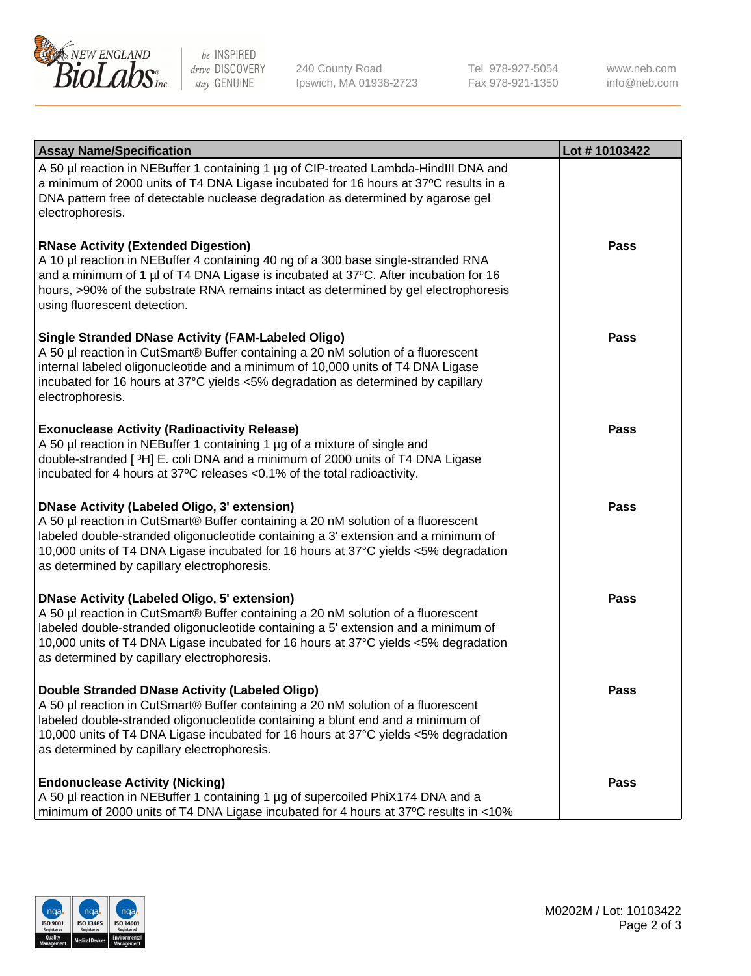

be INSPIRED drive DISCOVERY stay GENUINE

240 County Road Ipswich, MA 01938-2723 Tel 978-927-5054 Fax 978-921-1350

www.neb.com info@neb.com

| <b>Assay Name/Specification</b>                                                                                                                                                                                                                                                                                                                                      | Lot #10103422 |
|----------------------------------------------------------------------------------------------------------------------------------------------------------------------------------------------------------------------------------------------------------------------------------------------------------------------------------------------------------------------|---------------|
| A 50 µl reaction in NEBuffer 1 containing 1 µg of CIP-treated Lambda-HindIII DNA and<br>a minimum of 2000 units of T4 DNA Ligase incubated for 16 hours at 37°C results in a<br>DNA pattern free of detectable nuclease degradation as determined by agarose gel<br>electrophoresis.                                                                                 |               |
| <b>RNase Activity (Extended Digestion)</b><br>A 10 µl reaction in NEBuffer 4 containing 40 ng of a 300 base single-stranded RNA<br>and a minimum of 1 µl of T4 DNA Ligase is incubated at 37°C. After incubation for 16<br>hours, >90% of the substrate RNA remains intact as determined by gel electrophoresis<br>using fluorescent detection.                      | Pass          |
| <b>Single Stranded DNase Activity (FAM-Labeled Oligo)</b><br>A 50 µl reaction in CutSmart® Buffer containing a 20 nM solution of a fluorescent<br>internal labeled oligonucleotide and a minimum of 10,000 units of T4 DNA Ligase<br>incubated for 16 hours at 37°C yields <5% degradation as determined by capillary<br>electrophoresis.                            | Pass          |
| <b>Exonuclease Activity (Radioactivity Release)</b><br>A 50 µl reaction in NEBuffer 1 containing 1 µg of a mixture of single and<br>double-stranded [3H] E. coli DNA and a minimum of 2000 units of T4 DNA Ligase<br>incubated for 4 hours at 37°C releases <0.1% of the total radioactivity.                                                                        | Pass          |
| <b>DNase Activity (Labeled Oligo, 3' extension)</b><br>A 50 µl reaction in CutSmart® Buffer containing a 20 nM solution of a fluorescent<br>labeled double-stranded oligonucleotide containing a 3' extension and a minimum of<br>10,000 units of T4 DNA Ligase incubated for 16 hours at 37°C yields <5% degradation<br>as determined by capillary electrophoresis. | <b>Pass</b>   |
| <b>DNase Activity (Labeled Oligo, 5' extension)</b><br>A 50 µl reaction in CutSmart® Buffer containing a 20 nM solution of a fluorescent<br>labeled double-stranded oligonucleotide containing a 5' extension and a minimum of<br>10,000 units of T4 DNA Ligase incubated for 16 hours at 37°C yields <5% degradation<br>as determined by capillary electrophoresis. | Pass          |
| Double Stranded DNase Activity (Labeled Oligo)<br>A 50 µl reaction in CutSmart® Buffer containing a 20 nM solution of a fluorescent<br>labeled double-stranded oligonucleotide containing a blunt end and a minimum of<br>10,000 units of T4 DNA Ligase incubated for 16 hours at 37°C yields <5% degradation<br>as determined by capillary electrophoresis.         | <b>Pass</b>   |
| <b>Endonuclease Activity (Nicking)</b><br>A 50 µl reaction in NEBuffer 1 containing 1 µg of supercoiled PhiX174 DNA and a<br>minimum of 2000 units of T4 DNA Ligase incubated for 4 hours at 37°C results in <10%                                                                                                                                                    | <b>Pass</b>   |